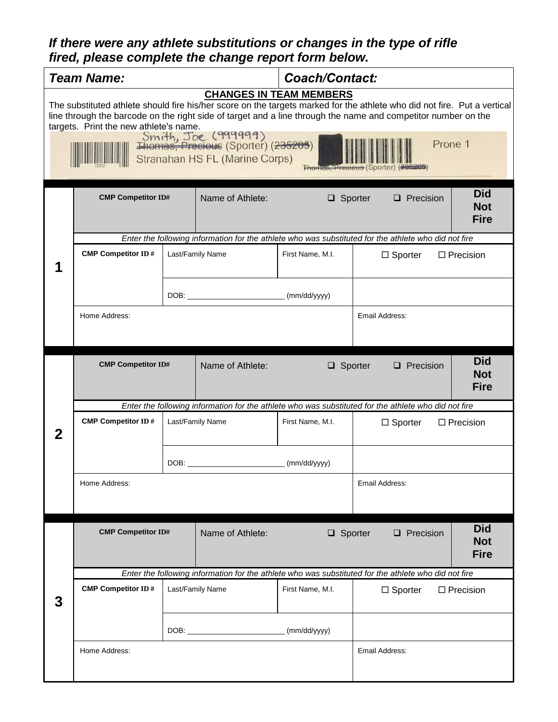## *If there were any athlete substitutions or changes in the type of rifle fired, please complete the change report form below.*

|                                                                                                                                                                                                                                                                                                                                                                                                                                  | <b>Team Name:</b>                                                                                    |                  |                  | <b>Coach/Contact:</b>                                                                                |                                                                                                      |                                         |  |
|----------------------------------------------------------------------------------------------------------------------------------------------------------------------------------------------------------------------------------------------------------------------------------------------------------------------------------------------------------------------------------------------------------------------------------|------------------------------------------------------------------------------------------------------|------------------|------------------|------------------------------------------------------------------------------------------------------|------------------------------------------------------------------------------------------------------|-----------------------------------------|--|
| <b>CHANGES IN TEAM MEMBERS</b><br>The substituted athlete should fire his/her score on the targets marked for the athlete who did not fire. Put a vertical<br>line through the barcode on the right side of target and a line through the name and competitor number on the<br>targets. Print the new athlete's name.<br>Smith, Joe (999999)<br>Thomas, Precious (Sporter) (235205)<br>Prone 1<br>Stranahan HS FL (Marine Corps) |                                                                                                      |                  |                  |                                                                                                      |                                                                                                      |                                         |  |
|                                                                                                                                                                                                                                                                                                                                                                                                                                  | <b>CMP Competitor ID#</b>                                                                            |                  | Name of Athlete: | $\Box$ Sporter                                                                                       | $\Box$ Precision                                                                                     | <b>Did</b><br><b>Not</b><br><b>Fire</b> |  |
|                                                                                                                                                                                                                                                                                                                                                                                                                                  |                                                                                                      |                  |                  |                                                                                                      | Enter the following information for the athlete who was substituted for the athlete who did not fire |                                         |  |
|                                                                                                                                                                                                                                                                                                                                                                                                                                  | <b>CMP Competitor ID#</b>                                                                            |                  | Last/Family Name | First Name, M.I.                                                                                     | $\Box$ Sporter                                                                                       | $\Box$ Precision                        |  |
|                                                                                                                                                                                                                                                                                                                                                                                                                                  |                                                                                                      |                  |                  |                                                                                                      |                                                                                                      |                                         |  |
|                                                                                                                                                                                                                                                                                                                                                                                                                                  | Home Address:                                                                                        |                  |                  |                                                                                                      | Email Address:                                                                                       |                                         |  |
|                                                                                                                                                                                                                                                                                                                                                                                                                                  | <b>CMP Competitor ID#</b>                                                                            |                  | Name of Athlete: | $\Box$ Sporter                                                                                       | $\Box$ Precision                                                                                     | <b>Did</b><br><b>Not</b><br><b>Fire</b> |  |
|                                                                                                                                                                                                                                                                                                                                                                                                                                  | Enter the following information for the athlete who was substituted for the athlete who did not fire |                  |                  |                                                                                                      |                                                                                                      |                                         |  |
| $\mathbf 2$                                                                                                                                                                                                                                                                                                                                                                                                                      | <b>CMP Competitor ID#</b>                                                                            | Last/Family Name |                  | First Name, M.I.                                                                                     | $\Box$ Sporter                                                                                       | $\Box$ Precision                        |  |
|                                                                                                                                                                                                                                                                                                                                                                                                                                  |                                                                                                      |                  |                  | (mm/dd/yyyy)                                                                                         |                                                                                                      |                                         |  |
|                                                                                                                                                                                                                                                                                                                                                                                                                                  | Home Address:                                                                                        |                  |                  | Email Address:                                                                                       |                                                                                                      |                                         |  |
|                                                                                                                                                                                                                                                                                                                                                                                                                                  | <b>CMP Competitor ID#</b>                                                                            |                  | Name of Athlete: | $\Box$ Sporter                                                                                       | $\Box$ Precision                                                                                     | <b>Did</b><br><b>Not</b><br><b>Fire</b> |  |
|                                                                                                                                                                                                                                                                                                                                                                                                                                  |                                                                                                      |                  |                  | Enter the following information for the athlete who was substituted for the athlete who did not fire |                                                                                                      |                                         |  |
| 3                                                                                                                                                                                                                                                                                                                                                                                                                                | <b>CMP Competitor ID#</b>                                                                            |                  | Last/Family Name | First Name, M.I.                                                                                     | $\Box$ Sporter                                                                                       | $\Box$ Precision                        |  |
|                                                                                                                                                                                                                                                                                                                                                                                                                                  |                                                                                                      |                  |                  |                                                                                                      |                                                                                                      |                                         |  |
|                                                                                                                                                                                                                                                                                                                                                                                                                                  | Home Address:                                                                                        |                  |                  |                                                                                                      | Email Address:                                                                                       |                                         |  |